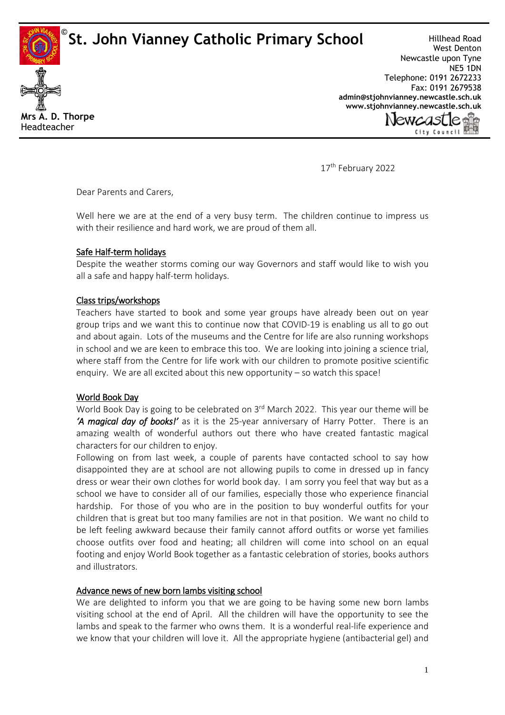**St. John Vianney Catholic Primary School** 



Hillhead Road West Denton Newcastle upon Tyne NE5 1DN Telephone: 0191 2672233 Fax: 0191 2679538 **[admin@stjohnvianney.newcastle.sch.uk](mailto:admin@stjohnvianney.newcastle.sch.uk) [www.stjohnvianney.newcastle.sch.uk](http://www.stjohnvianney.newcastle.sch.uk/)**



17<sup>th</sup> February 2022

Dear Parents and Carers,

Well here we are at the end of a very busy term. The children continue to impress us with their resilience and hard work, we are proud of them all.

# Safe Half-term holidays

Despite the weather storms coming our way Governors and staff would like to wish you all a safe and happy half-term holidays.

# Class trips/workshops

Teachers have started to book and some year groups have already been out on year group trips and we want this to continue now that COVID-19 is enabling us all to go out and about again. Lots of the museums and the Centre for life are also running workshops in school and we are keen to embrace this too. We are looking into joining a science trial, where staff from the Centre for life work with our children to promote positive scientific enquiry. We are all excited about this new opportunity – so watch this space!

## World Book Day

World Book Day is going to be celebrated on 3<sup>rd</sup> March 2022. This year our theme will be *'A magical day of books!'* as it is the 25-year anniversary of Harry Potter. There is an amazing wealth of wonderful authors out there who have created fantastic magical characters for our children to enjoy.

Following on from last week, a couple of parents have contacted school to say how disappointed they are at school are not allowing pupils to come in dressed up in fancy dress or wear their own clothes for world book day. I am sorry you feel that way but as a school we have to consider all of our families, especially those who experience financial hardship. For those of you who are in the position to buy wonderful outfits for your children that is great but too many families are not in that position. We want no child to be left feeling awkward because their family cannot afford outfits or worse yet families choose outfits over food and heating; all children will come into school on an equal footing and enjoy World Book together as a fantastic celebration of stories, books authors and illustrators.

# Advance news of new born lambs visiting school

We are delighted to inform you that we are going to be having some new born lambs visiting school at the end of April. All the children will have the opportunity to see the lambs and speak to the farmer who owns them. It is a wonderful real-life experience and we know that your children will love it. All the appropriate hygiene (antibacterial gel) and